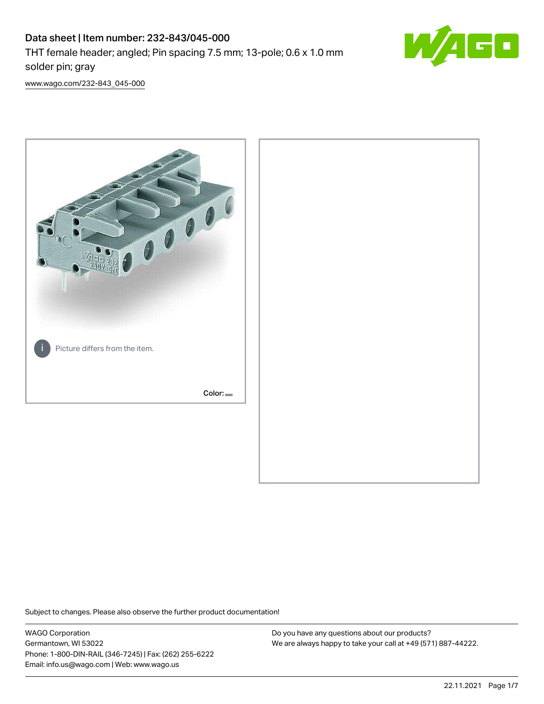# Data sheet | Item number: 232-843/045-000 THT female header; angled; Pin spacing 7.5 mm; 13-pole; 0.6 x 1.0 mm solder pin; gray



[www.wago.com/232-843\\_045-000](http://www.wago.com/232-843_045-000)



Subject to changes. Please also observe the further product documentation!

WAGO Corporation Germantown, WI 53022 Phone: 1-800-DIN-RAIL (346-7245) | Fax: (262) 255-6222 Email: info.us@wago.com | Web: www.wago.us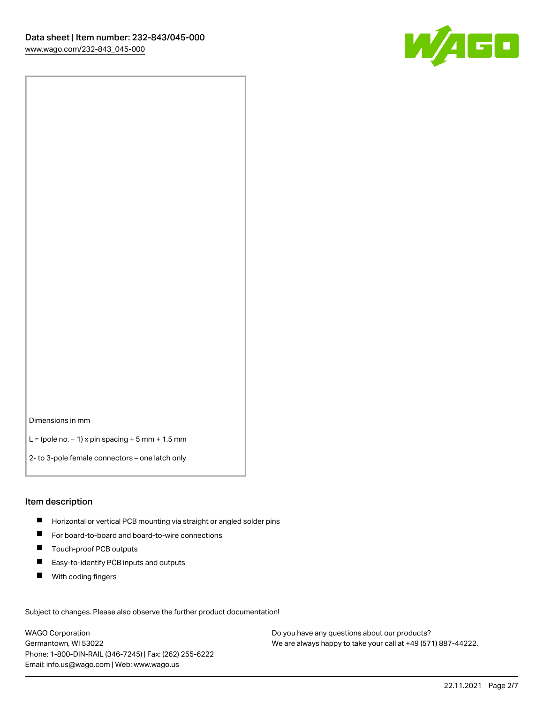

Dimensions in mm

L = (pole no. − 1) x pin spacing + 5 mm + 1.5 mm

2- to 3-pole female connectors – one latch only

#### Item description

- **H** Horizontal or vertical PCB mounting via straight or angled solder pins
- For board-to-board and board-to-wire connections
- Touch-proof PCB outputs  $\blacksquare$
- $\blacksquare$ Easy-to-identify PCB inputs and outputs
- $\blacksquare$ With coding fingers

Subject to changes. Please also observe the further product documentation! Data

WAGO Corporation Germantown, WI 53022 Phone: 1-800-DIN-RAIL (346-7245) | Fax: (262) 255-6222 Email: info.us@wago.com | Web: www.wago.us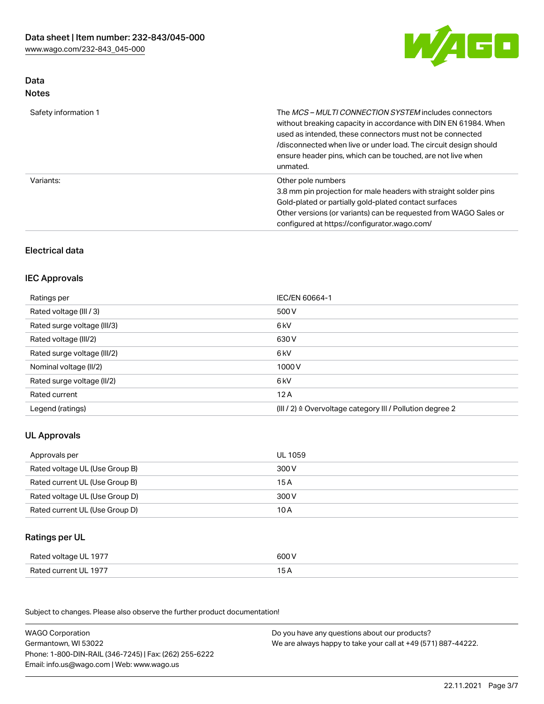

# Data Notes

| Safety information 1 | The <i>MCS – MULTI CONNECTION SYSTEM</i> includes connectors<br>without breaking capacity in accordance with DIN EN 61984. When<br>used as intended, these connectors must not be connected<br>/disconnected when live or under load. The circuit design should<br>ensure header pins, which can be touched, are not live when<br>unmated. |
|----------------------|--------------------------------------------------------------------------------------------------------------------------------------------------------------------------------------------------------------------------------------------------------------------------------------------------------------------------------------------|
| Variants:            | Other pole numbers<br>3.8 mm pin projection for male headers with straight solder pins<br>Gold-plated or partially gold-plated contact surfaces<br>Other versions (or variants) can be requested from WAGO Sales or<br>configured at https://configurator.wago.com/                                                                        |

# Electrical data

## IEC Approvals

| Ratings per                 | IEC/EN 60664-1                                                        |
|-----------------------------|-----------------------------------------------------------------------|
| Rated voltage (III / 3)     | 500 V                                                                 |
| Rated surge voltage (III/3) | 6 kV                                                                  |
| Rated voltage (III/2)       | 630 V                                                                 |
| Rated surge voltage (III/2) | 6 kV                                                                  |
| Nominal voltage (II/2)      | 1000 V                                                                |
| Rated surge voltage (II/2)  | 6 kV                                                                  |
| Rated current               | 12A                                                                   |
| Legend (ratings)            | $(III / 2)$ $\triangle$ Overvoltage category III / Pollution degree 2 |

# UL Approvals

| Approvals per                  | UL 1059 |
|--------------------------------|---------|
| Rated voltage UL (Use Group B) | 300 V   |
| Rated current UL (Use Group B) | 15 A    |
| Rated voltage UL (Use Group D) | 300 V   |
| Rated current UL (Use Group D) | 10 A    |

# Ratings per UL

| Rated voltage UL 1977 | 600 V |
|-----------------------|-------|
| Rated current UL 1977 |       |

Subject to changes. Please also observe the further product documentation!

| <b>WAGO Corporation</b>                                | Do you have any questions about our products?                 |
|--------------------------------------------------------|---------------------------------------------------------------|
| Germantown, WI 53022                                   | We are always happy to take your call at +49 (571) 887-44222. |
| Phone: 1-800-DIN-RAIL (346-7245)   Fax: (262) 255-6222 |                                                               |
| Email: info.us@wago.com   Web: www.wago.us             |                                                               |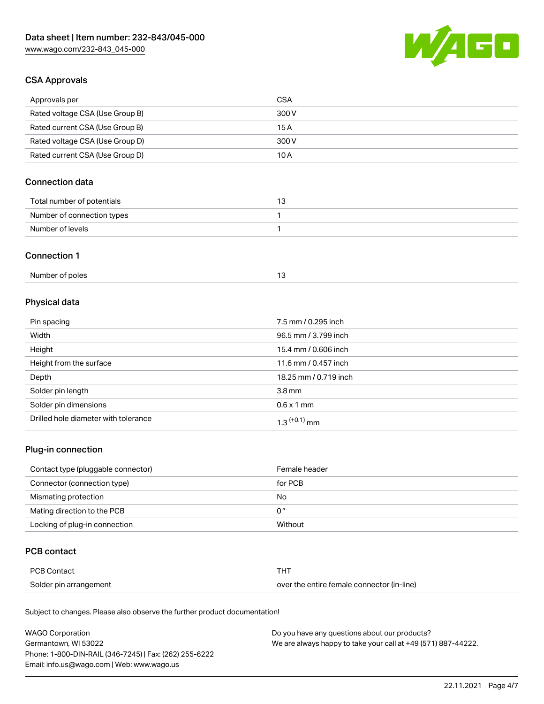

## CSA Approvals

| Approvals per                   | CSA   |
|---------------------------------|-------|
| Rated voltage CSA (Use Group B) | 300 V |
| Rated current CSA (Use Group B) | 15 A  |
| Rated voltage CSA (Use Group D) | 300 V |
| Rated current CSA (Use Group D) | 10 A  |

# Connection data

| Total number of potentials |  |
|----------------------------|--|
| Number of connection types |  |
| Number of levels           |  |

#### Connection 1

| Number of poles |  |
|-----------------|--|
|                 |  |

# Physical data

| Pin spacing                          | 7.5 mm / 0.295 inch   |
|--------------------------------------|-----------------------|
| Width                                | 96.5 mm / 3.799 inch  |
| Height                               | 15.4 mm / 0.606 inch  |
| Height from the surface              | 11.6 mm / 0.457 inch  |
| Depth                                | 18.25 mm / 0.719 inch |
| Solder pin length                    | 3.8 <sub>mm</sub>     |
| Solder pin dimensions                | $0.6 \times 1$ mm     |
| Drilled hole diameter with tolerance | $1.3$ $(+0.1)$ mm     |

# Plug-in connection

| Contact type (pluggable connector) | Female header |
|------------------------------------|---------------|
| Connector (connection type)        | for PCB       |
| Mismating protection               | No            |
| Mating direction to the PCB        | 0°            |
| Locking of plug-in connection      | Without       |

## PCB contact

| PCB Contact            | THT                                        |
|------------------------|--------------------------------------------|
| Solder pin arrangement | over the entire female connector (in-line) |

Subject to changes. Please also observe the further product documentation!

| <b>WAGO Corporation</b>                                | Do you have any questions about our products?                 |
|--------------------------------------------------------|---------------------------------------------------------------|
| Germantown, WI 53022                                   | We are always happy to take your call at +49 (571) 887-44222. |
| Phone: 1-800-DIN-RAIL (346-7245)   Fax: (262) 255-6222 |                                                               |
| Email: info.us@wago.com   Web: www.wago.us             |                                                               |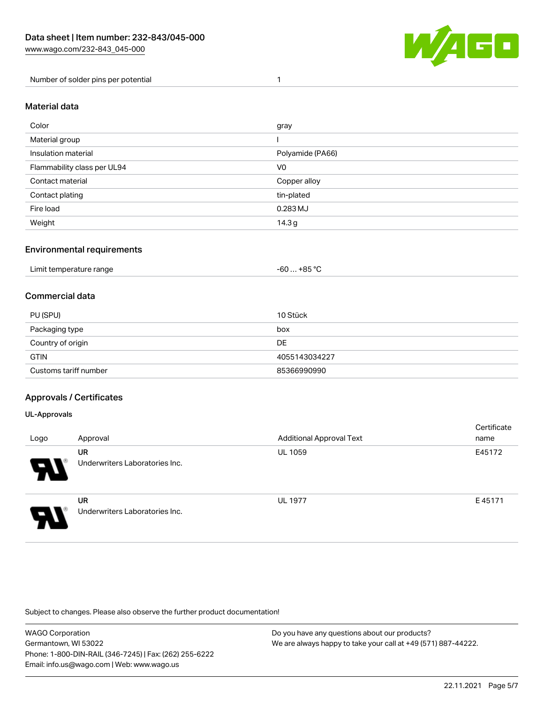

Number of solder pins per potential 1

## Material data

| Color                       | gray              |
|-----------------------------|-------------------|
| Material group              |                   |
| Insulation material         | Polyamide (PA66)  |
| Flammability class per UL94 | V0                |
| Contact material            | Copper alloy      |
| Contact plating             | tin-plated        |
| Fire load                   | 0.283 MJ          |
| Weight                      | 14.3 <sub>g</sub> |

#### Environmental requirements

| Limit temperature range<br>. | . +85 °ົ<br>cn.<br>-ou |  |
|------------------------------|------------------------|--|
|------------------------------|------------------------|--|

## Commercial data

| PU (SPU)              | 10 Stück      |
|-----------------------|---------------|
| Packaging type        | box           |
| Country of origin     | DE            |
| <b>GTIN</b>           | 4055143034227 |
| Customs tariff number | 85366990990   |

## Approvals / Certificates

#### UL-Approvals

| Logo | Approval                                    | <b>Additional Approval Text</b> | Certificate<br>name |
|------|---------------------------------------------|---------------------------------|---------------------|
| Ъ.   | <b>UR</b><br>Underwriters Laboratories Inc. | <b>UL 1059</b>                  | E45172              |
| O    | <b>UR</b><br>Underwriters Laboratories Inc. | <b>UL 1977</b>                  | E45171              |

Subject to changes. Please also observe the further product documentation!

| <b>WAGO Corporation</b>                                | Do you have any questions about our products?                 |
|--------------------------------------------------------|---------------------------------------------------------------|
| Germantown, WI 53022                                   | We are always happy to take your call at +49 (571) 887-44222. |
| Phone: 1-800-DIN-RAIL (346-7245)   Fax: (262) 255-6222 |                                                               |
| Email: info.us@wago.com   Web: www.wago.us             |                                                               |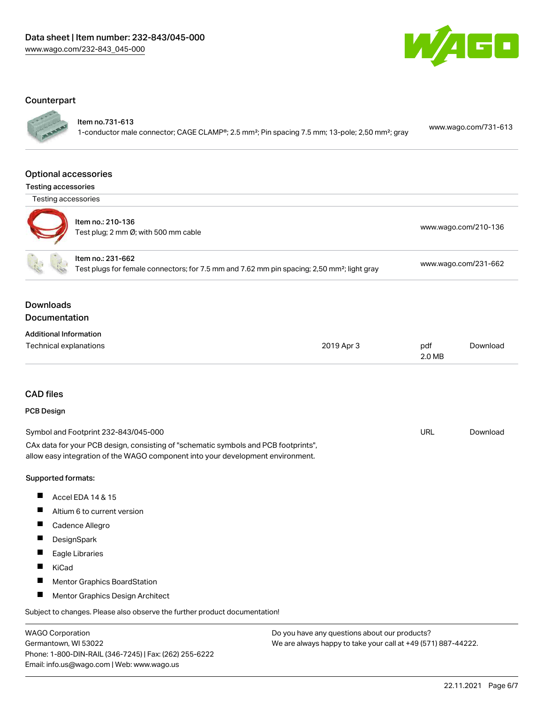

#### **Counterpart**

Item no.731-613

1-conductor male connector; CAGE CLAMP®; 2.5 mm²; Pin spacing 7.5 mm; 13-pole; 2,50 mm²; gray [www.wago.com/731-613](https://www.wago.com/731-613)

#### Optional accessories

Testing accessories



| othig abooboorioo |                                                           |                      |
|-------------------|-----------------------------------------------------------|----------------------|
|                   | Item no.: 210-136<br>Test plug; 2 mm Ø; with 500 mm cable | www.wago.com/210-136 |
|                   | Item no.: 231-662                                         |                      |

Test plugs for female connectors; for 7.5 mm and 7.62 mm pin spacing; 2,50 mm²; light gray [www.wago.com/231-662](http://www.wago.com/231-662)

## Downloads Documentation

| <b>Additional Information</b> |            |        |          |
|-------------------------------|------------|--------|----------|
| Technical explanations        | 2019 Apr 3 | pdf    | Download |
|                               |            | 2.0 MB |          |

## CAD files

## PCB Design

| Symbol and Footprint 232-843/045-000                                                | URL | Download |
|-------------------------------------------------------------------------------------|-----|----------|
| CAx data for your PCB design, consisting of "schematic symbols and PCB footprints", |     |          |
| allow easy integration of the WAGO component into your development environment.     |     |          |

#### Supported formats:

- $\blacksquare$ Accel EDA 14 & 15
- $\blacksquare$ Altium 6 to current version
- Cadence Allegro
- $\blacksquare$ **DesignSpark**
- $\blacksquare$ Eagle Libraries
- $\blacksquare$ KiCad
- $\blacksquare$ Mentor Graphics BoardStation
- $\blacksquare$ Mentor Graphics Design Architect

Subject to changes. Please also observe the further product documentation!

WAGO Corporation Germantown, WI 53022 Phone: 1-800-DIN-RAIL (346-7245) | Fax: (262) 255-6222 Email: info.us@wago.com | Web: www.wago.us